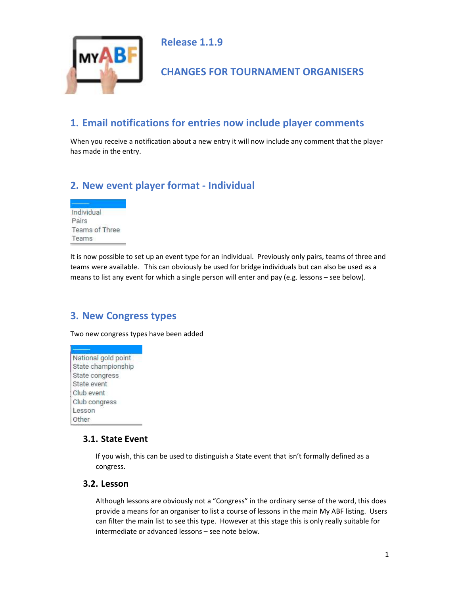

Release 1.1.9

## CHANGES FOR TOURNAMENT ORGANISERS

# 1. Email notifications for entries now include player comments

When you receive a notification about a new entry it will now include any comment that the player has made in the entry.

## 2. New event player format - Individual



It is now possible to set up an event type for an individual. Previously only pairs, teams of three and teams were available. This can obviously be used for bridge individuals but can also be used as a means to list any event for which a single person will enter and pay (e.g. lessons – see below).

## 3. New Congress types

Two new congress types have been added

National gold point State championship State congress State event Club event Club congress Lesson Other

#### 3.1. State Event

If you wish, this can be used to distinguish a State event that isn't formally defined as a congress.

#### 3.2. Lesson

Although lessons are obviously not a "Congress" in the ordinary sense of the word, this does provide a means for an organiser to list a course of lessons in the main My ABF listing. Users can filter the main list to see this type. However at this stage this is only really suitable for intermediate or advanced lessons – see note below.